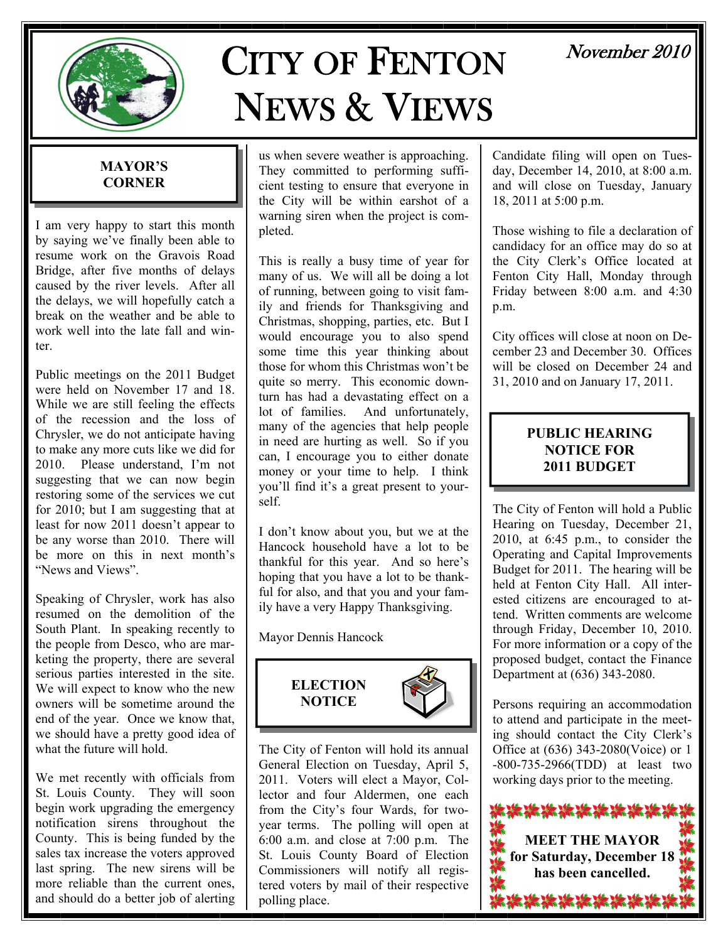

# CITY OF FENTON NEWS & VIEWS

# November 2010

#### **MAYOR'S CORNER**

I am very happy to start this month by saying we've finally been able to resume work on the Gravois Road Bridge, after five months of delays caused by the river levels. After all the delays, we will hopefully catch a break on the weather and be able to work well into the late fall and winter.

Public meetings on the 2011 Budget were held on November 17 and 18. While we are still feeling the effects of the recession and the loss of Chrysler, we do not anticipate having to make any more cuts like we did for 2010. Please understand, I'm not suggesting that we can now begin restoring some of the services we cut for 2010; but I am suggesting that at least for now 2011 doesn't appear to be any worse than 2010. There will be more on this in next month's "News and Views".

Speaking of Chrysler, work has also resumed on the demolition of the South Plant. In speaking recently to the people from Desco, who are marketing the property, there are several serious parties interested in the site. We will expect to know who the new owners will be sometime around the end of the year. Once we know that, we should have a pretty good idea of what the future will hold.

We met recently with officials from St. Louis County. They will soon begin work upgrading the emergency notification sirens throughout the County. This is being funded by the sales tax increase the voters approved last spring. The new sirens will be more reliable than the current ones, and should do a better job of alerting us when severe weather is approaching. They committed to performing sufficient testing to ensure that everyone in the City will be within earshot of a warning siren when the project is completed.

This is really a busy time of year for many of us. We will all be doing a lot of running, between going to visit family and friends for Thanksgiving and Christmas, shopping, parties, etc. But I would encourage you to also spend some time this year thinking about those for whom this Christmas won't be quite so merry. This economic downturn has had a devastating effect on a lot of families. And unfortunately, many of the agencies that help people in need are hurting as well. So if you can, I encourage you to either donate money or your time to help. I think you'll find it's a great present to yourself.

I don't know about you, but we at the Hancock household have a lot to be thankful for this year. And so here's hoping that you have a lot to be thankful for also, and that you and your family have a very Happy Thanksgiving.

Mayor Dennis Hancock



The City of Fenton will hold its annual General Election on Tuesday, April 5, 2011. Voters will elect a Mayor, Collector and four Aldermen, one each from the City's four Wards, for twoyear terms. The polling will open at 6:00 a.m. and close at 7:00 p.m. The St. Louis County Board of Election Commissioners will notify all registered voters by mail of their respective polling place.

Candidate filing will open on Tuesday, December 14, 2010, at 8:00 a.m. and will close on Tuesday, January 18, 2011 at 5:00 p.m.

Those wishing to file a declaration of candidacy for an office may do so at the City Clerk's Office located at Fenton City Hall, Monday through Friday between 8:00 a.m. and 4:30 p.m.

City offices will close at noon on December 23 and December 30. Offices will be closed on December 24 and 31, 2010 and on January 17, 2011.

#### **PUBLIC HEARING NOTICE FOR 2011 BUDGET**

The City of Fenton will hold a Public Hearing on Tuesday, December 21, 2010, at 6:45 p.m., to consider the Operating and Capital Improvements Budget for 2011. The hearing will be held at Fenton City Hall. All interested citizens are encouraged to attend. Written comments are welcome through Friday, December 10, 2010. For more information or a copy of the proposed budget, contact the Finance Department at (636) 343-2080.

Persons requiring an accommodation to attend and participate in the meeting should contact the City Clerk's Office at (636) 343-2080(Voice) or 1 -800-735-2966(TDD) at least two working days prior to the meeting.

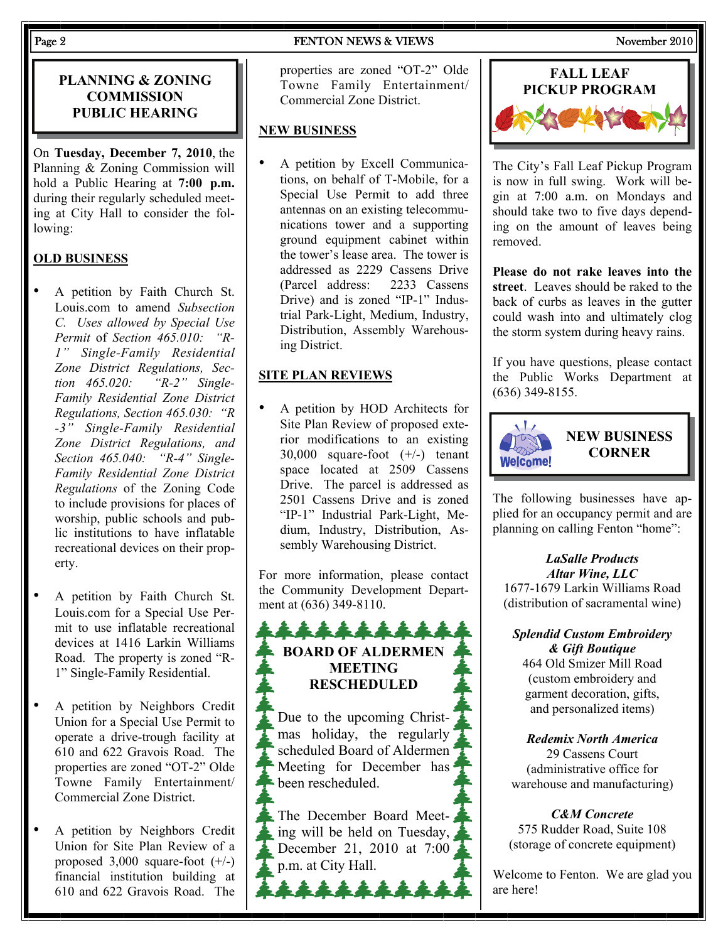#### Page 2 FENTON NEWS & VIEWS November 2010

#### **PLANNING & ZONING COMMISSION PUBLIC HEARING**

On **Tuesday, December 7, 2010**, the Planning & Zoning Commission will hold a Public Hearing at **7:00 p.m.**  during their regularly scheduled meeting at City Hall to consider the following:

### **OLD BUSINESS**

- A petition by Faith Church St. Louis.com to amend *Subsection C. Uses allowed by Special Use Permit* of *Section 465.010: "R-1" Single-Family Residential Zone District Regulations, Section 465.020: "R-2" Single-Family Residential Zone District Regulations, Section 465.030: "R -3" Single-Family Residential Zone District Regulations, and Section 465.040: "R-4" Single-Family Residential Zone District Regulations* of the Zoning Code to include provisions for places of worship, public schools and public institutions to have inflatable recreational devices on their property.
- A petition by Faith Church St. Louis.com for a Special Use Permit to use inflatable recreational devices at 1416 Larkin Williams Road. The property is zoned "R-1" Single-Family Residential.
- A petition by Neighbors Credit Union for a Special Use Permit to operate a drive-trough facility at 610 and 622 Gravois Road. The properties are zoned "OT-2" Olde Towne Family Entertainment/ Commercial Zone District.
- A petition by Neighbors Credit Union for Site Plan Review of a proposed 3,000 square-foot (+/-) financial institution building at 610 and 622 Gravois Road. The

properties are zoned "OT-2" Olde Towne Family Entertainment/ Commercial Zone District.

#### **NEW BUSINESS**

• A petition by Excell Communications, on behalf of T-Mobile, for a Special Use Permit to add three antennas on an existing telecommunications tower and a supporting ground equipment cabinet within the tower's lease area. The tower is addressed as 2229 Cassens Drive (Parcel address: 2233 Cassens Drive) and is zoned "IP-1" Industrial Park-Light, Medium, Industry, Distribution, Assembly Warehousing District.

#### **SITE PLAN REVIEWS**

• A petition by HOD Architects for Site Plan Review of proposed exterior modifications to an existing 30,000 square-foot (+/-) tenant space located at 2509 Cassens Drive. The parcel is addressed as 2501 Cassens Drive and is zoned "IP-1" Industrial Park-Light, Medium, Industry, Distribution, Assembly Warehousing District.

For more information, please contact the Community Development Department at (636) 349-8110.

### \*\*\*\*\*\*\* **BOARD OF ALDERMEN MEETING RESCHEDULED**

Due to the upcoming Christmas holiday, the regularly scheduled Board of Aldermen Meeting for December has been rescheduled.

The December Board Meeting will be held on Tuesday, December 21, 2010 at 7:00 p.m. at City Hall.



The City's Fall Leaf Pickup Program is now in full swing. Work will begin at 7:00 a.m. on Mondays and should take two to five days depending on the amount of leaves being removed.

**Please do not rake leaves into the street**. Leaves should be raked to the back of curbs as leaves in the gutter could wash into and ultimately clog the storm system during heavy rains.

If you have questions, please contact the Public Works Department at (636) 349-8155.



The following businesses have applied for an occupancy permit and are planning on calling Fenton "home":

*LaSalle Products Altar Wine, LLC*  1677-1679 Larkin Williams Road (distribution of sacramental wine)

#### *Splendid Custom Embroidery & Gift Boutique*

464 Old Smizer Mill Road (custom embroidery and garment decoration, gifts, and personalized items)

#### *Redemix North America*

29 Cassens Court (administrative office for warehouse and manufacturing)

*C&M Concrete* 

575 Rudder Road, Suite 108 (storage of concrete equipment)

Welcome to Fenton. We are glad you are here!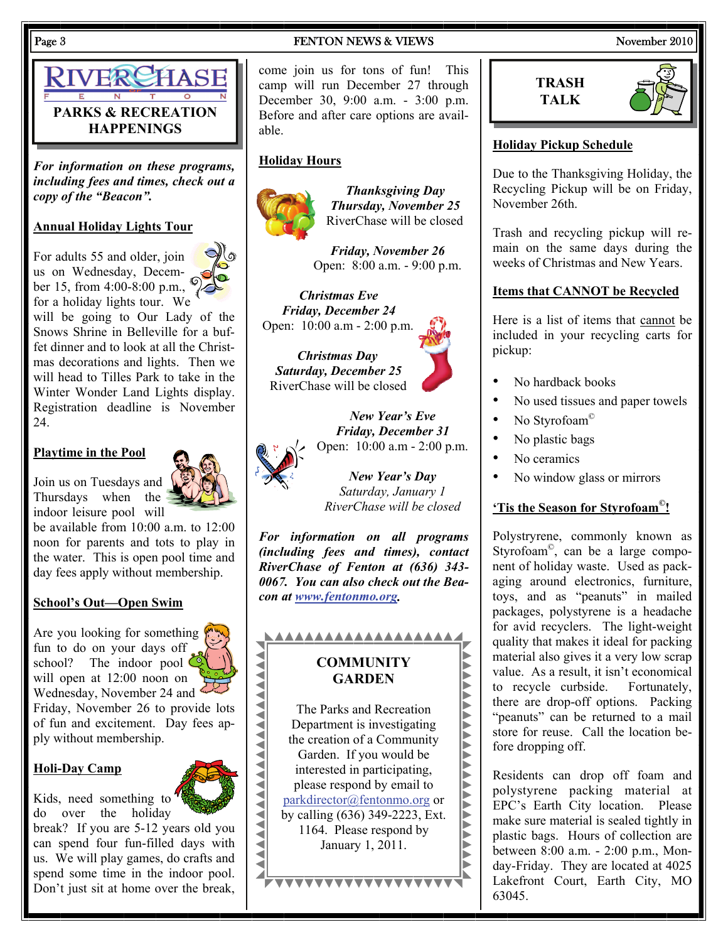RIVERCHASE **PARKS & RECREATION HAPPENINGS** 

*For information on these programs, including fees and times, check out a copy of the "Beacon".* 

#### **Annual Holiday Lights Tour**

For adults 55 and older, join us on Wednesday, December 15, from 4:00-8:00 p.m., for a holiday lights tour. We



will be going to Our Lady of the Snows Shrine in Belleville for a buffet dinner and to look at all the Christmas decorations and lights. Then we will head to Tilles Park to take in the Winter Wonder Land Lights display. Registration deadline is November 24.

#### **Playtime in the Pool**

Join us on Tuesdays and Thursdays when the indoor leisure pool will

be available from 10:00 a.m. to 12:00 noon for parents and tots to play in the water. This is open pool time and day fees apply without membership.

#### **School's Out—Open Swim**

Are you looking for something fun to do on your days off school? The indoor pool  $\zeta$ will open at 12:00 noon on Wednesday, November 24 and

Friday, November 26 to provide lots of fun and excitement. Day fees apply without membership.

#### **Holi-Day Camp**



Kids, need something to do over the holiday

break? If you are 5-12 years old you can spend four fun-filled days with us. We will play games, do crafts and spend some time in the indoor pool. Don't just sit at home over the break,

#### Page 3 FENTON NEWS & VIEWS November 2010

come join us for tons of fun! This camp will run December 27 through December 30, 9:00 a.m. - 3:00 p.m. Before and after care options are available.

#### **Holiday Hours**



*Thanksgiving Day Thursday, November 25*  RiverChase will be closed

*Friday, November 26* Open: 8:00 a.m. - 9:00 p.m.

*Christmas Eve Friday, December 24*  Open: 10:00 a.m - 2:00 p.m.

*Christmas Day Saturday, December 25*  RiverChase will be closed



*New Year's Eve Friday, December 31*  Open: 10:00 a.m - 2:00 p.m.

> *New Year's Day Saturday, January 1 RiverChase will be closed*

*For information on all programs (including fees and times), contact RiverChase of Fenton at (636) 343- 0067. You can also check out the Beacon at [www.fentonmo.org](http://www.fentonmo.org/).*







#### **Holiday Pickup Schedule**

Due to the Thanksgiving Holiday, the Recycling Pickup will be on Friday, November 26th.

Trash and recycling pickup will remain on the same days during the weeks of Christmas and New Years.

#### **Items that CANNOT be Recycled**

Here is a list of items that cannot be included in your recycling carts for pickup:

- No hardback books
- No used tissues and paper towels
- No Styrofoam<sup>©</sup>
- No plastic bags
- No ceramics
- No window glass or mirrors

#### **'Tis the Season for Styrofoam©!**

Polystryrene, commonly known as Styrofoam©, can be a large component of holiday waste. Used as packaging around electronics, furniture, toys, and as "peanuts" in mailed packages, polystyrene is a headache for avid recyclers. The light-weight quality that makes it ideal for packing material also gives it a very low scrap value. As a result, it isn't economical to recycle curbside. Fortunately, there are drop-off options. Packing "peanuts" can be returned to a mail store for reuse. Call the location before dropping off.

Residents can drop off foam and polystyrene packing material at EPC's Earth City location. Please make sure material is sealed tightly in plastic bags. Hours of collection are between 8:00 a.m. - 2:00 p.m., Monday-Friday. They are located at 4025 Lakefront Court, Earth City, MO 63045.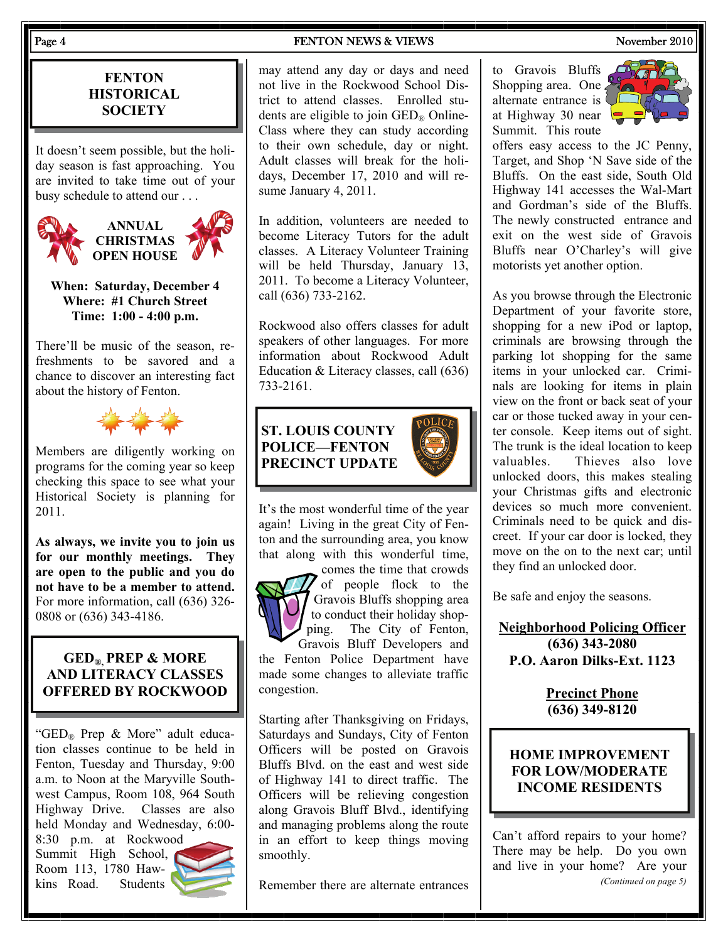#### **FENTON HISTORICAL SOCIETY**

It doesn't seem possible, but the holiday season is fast approaching. You are invited to take time out of your busy schedule to attend our . . .



#### **When: Saturday, December 4 Where: #1 Church Street Time: 1:00 - 4:00 p.m.**

There'll be music of the season, refreshments to be savored and a chance to discover an interesting fact about the history of Fenton.



Members are diligently working on programs for the coming year so keep checking this space to see what your Historical Society is planning for 2011.

**As always, we invite you to join us for our monthly meetings. They are open to the public and you do not have to be a member to attend.**  For more information, call (636) 326- 0808 or (636) 343-4186.

#### **GED®, PREP & MORE AND LITERACY CLASSES OFFERED BY ROCKWOOD**

" $GED_{\mathcal{R}}$  Prep & More" adult education classes continue to be held in Fenton, Tuesday and Thursday, 9:00 a.m. to Noon at the Maryville Southwest Campus, Room 108, 964 South Highway Drive. Classes are also held Monday and Wednesday, 6:00-

8:30 p.m. at Rockwood Summit High School, Room 113, 1780 Hawkins Road. Students



#### Page 4 FENTON NEWS & VIEWS November 2010

may attend any day or days and need not live in the Rockwood School District to attend classes. Enrolled students are eligible to join  $\text{GED}_\mathbb{R}$  Online-Class where they can study according to their own schedule, day or night. Adult classes will break for the holidays, December 17, 2010 and will resume January 4, 2011.

In addition, volunteers are needed to become Literacy Tutors for the adult classes. A Literacy Volunteer Training will be held Thursday, January 13, 2011. To become a Literacy Volunteer, call (636) 733-2162.

Rockwood also offers classes for adult speakers of other languages. For more information about Rockwood Adult Education & Literacy classes, call (636) 733-2161.

# **ST. LOUIS COUNTY POLICE—FENTON PRECINCT UPDATE**



It's the most wonderful time of the year again! Living in the great City of Fenton and the surrounding area, you know that along with this wonderful time, comes the time that crowds



of people flock to the Gravois Bluffs shopping area to conduct their holiday shopping. The City of Fenton, Gravois Bluff Developers and

the Fenton Police Department have made some changes to alleviate traffic congestion.

Starting after Thanksgiving on Fridays, Saturdays and Sundays, City of Fenton Officers will be posted on Gravois Bluffs Blvd. on the east and west side of Highway 141 to direct traffic. The Officers will be relieving congestion along Gravois Bluff Blvd., identifying and managing problems along the route in an effort to keep things moving smoothly.

Remember there are alternate entrances

to Gravois Bluffs Shopping area. One alternate entrance is at Highway 30 near Summit. This route



offers easy access to the JC Penny, Target, and Shop 'N Save side of the Bluffs. On the east side, South Old Highway 141 accesses the Wal-Mart and Gordman's side of the Bluffs. The newly constructed entrance and exit on the west side of Gravois Bluffs near O'Charley's will give motorists yet another option.

As you browse through the Electronic Department of your favorite store, shopping for a new iPod or laptop, criminals are browsing through the parking lot shopping for the same items in your unlocked car. Criminals are looking for items in plain view on the front or back seat of your car or those tucked away in your center console. Keep items out of sight. The trunk is the ideal location to keep valuables. Thieves also love unlocked doors, this makes stealing your Christmas gifts and electronic devices so much more convenient. Criminals need to be quick and discreet. If your car door is locked, they move on the on to the next car; until they find an unlocked door.

Be safe and enjoy the seasons.

**Neighborhood Policing Officer (636) 343-2080 P.O. Aaron Dilks-Ext. 1123** 

> **Precinct Phone (636) 349-8120**

#### **HOME IMPROVEMENT FOR LOW/MODERATE INCOME RESIDENTS**

Can't afford repairs to your home? There may be help. Do you own and live in your home? Are your *(Continued on page 5)*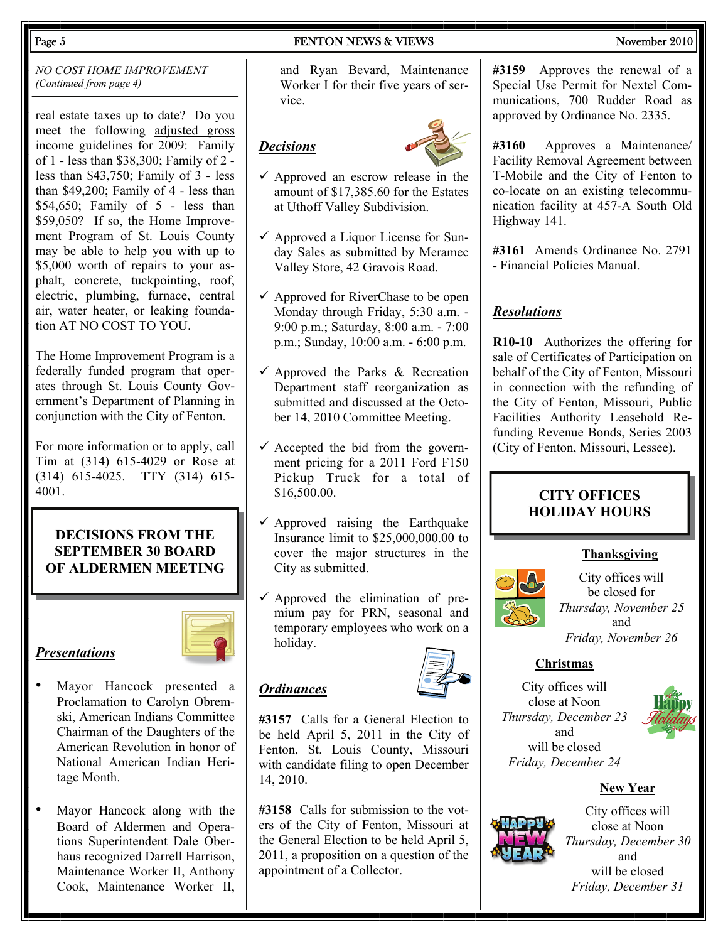#### Page 5 November 2010 **FENTON NEWS & VIEWS** November 2010

#### *NO COST HOME IMPROVEMENT (Continued from page 4)*

real estate taxes up to date? Do you meet the following adjusted gross income guidelines for 2009: Family of 1 - less than \$38,300; Family of 2 less than \$43,750; Family of 3 - less than \$49,200; Family of 4 - less than \$54,650; Family of 5 - less than \$59,050? If so, the Home Improvement Program of St. Louis County may be able to help you with up to \$5,000 worth of repairs to your asphalt, concrete, tuckpointing, roof, electric, plumbing, furnace, central air, water heater, or leaking foundation AT NO COST TO YOU.

The Home Improvement Program is a federally funded program that operates through St. Louis County Government's Department of Planning in conjunction with the City of Fenton.

For more information or to apply, call Tim at (314) 615-4029 or Rose at (314) 615-4025. TTY (314) 615- 4001.

#### **DECISIONS FROM THE SEPTEMBER 30 BOARD OF ALDERMEN MEETING**



• Mayor Hancock presented a Proclamation to Carolyn Obremski, American Indians Committee Chairman of the Daughters of the American Revolution in honor of National American Indian Heri-

*Presentations*

tage Month.

Mayor Hancock along with the Board of Aldermen and Operations Superintendent Dale Oberhaus recognized Darrell Harrison, Maintenance Worker II, Anthony Cook, Maintenance Worker II,

and Ryan Bevard, Maintenance Worker I for their five years of service.

## *Decisions*



- $\checkmark$  Approved an escrow release in the amount of \$17,385.60 for the Estates at Uthoff Valley Subdivision.
- $\checkmark$  Approved a Liquor License for Sunday Sales as submitted by Meramec Valley Store, 42 Gravois Road.
- $\checkmark$  Approved for RiverChase to be open Monday through Friday, 5:30 a.m. - 9:00 p.m.; Saturday, 8:00 a.m. - 7:00 p.m.; Sunday, 10:00 a.m. - 6:00 p.m.
- $\checkmark$  Approved the Parks & Recreation Department staff reorganization as submitted and discussed at the October 14, 2010 Committee Meeting.
- $\checkmark$  Accepted the bid from the government pricing for a 2011 Ford F150 Pickup Truck for a total of \$16,500.00.
- $\checkmark$  Approved raising the Earthquake Insurance limit to \$25,000,000.00 to cover the major structures in the City as submitted.
- $\checkmark$  Approved the elimination of premium pay for PRN, seasonal and temporary employees who work on a holiday.

**#3157** Calls for a General Election to be held April 5, 2011 in the City of Fenton, St. Louis County, Missouri with candidate filing to open December 14, 2010.

*Ordinances*

**#3158** Calls for submission to the voters of the City of Fenton, Missouri at the General Election to be held April 5, 2011, a proposition on a question of the appointment of a Collector.

**#3159** Approves the renewal of a Special Use Permit for Nextel Communications, 700 Rudder Road as approved by Ordinance No. 2335.

**#3160** Approves a Maintenance/ Facility Removal Agreement between T-Mobile and the City of Fenton to co-locate on an existing telecommunication facility at 457-A South Old Highway 141.

**#3161** Amends Ordinance No. 2791 - Financial Policies Manual.

### *Resolutions*

**R10-10** Authorizes the offering for sale of Certificates of Participation on behalf of the City of Fenton, Missouri in connection with the refunding of the City of Fenton, Missouri, Public Facilities Authority Leasehold Refunding Revenue Bonds, Series 2003 (City of Fenton, Missouri, Lessee).

#### **CITY OFFICES HOLIDAY HOURS**

### **Thanksgiving**



City offices will be closed for *Thursday, November 25* and *Friday, November 26* 

### **Christmas**

City offices will close at Noon *Thursday, December 23*  and will be closed *Friday, December 24* 



**New Year**



City offices will close at Noon *Thursday, December 30*  and will be closed *Friday, December 31*